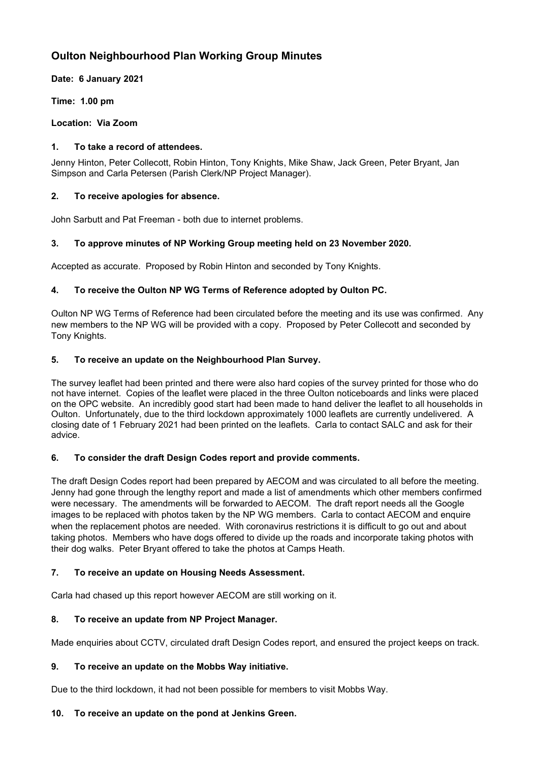# **Oulton Neighbourhood Plan Working Group Minutes**

**Date: 6 January 2021**

**Time: 1.00 pm**

**Location: Via Zoom**

# **1. To take a record of attendees.**

Jenny Hinton, Peter Collecott, Robin Hinton, Tony Knights, Mike Shaw, Jack Green, Peter Bryant, Jan Simpson and Carla Petersen (Parish Clerk/NP Project Manager).

# **2. To receive apologies for absence.**

John Sarbutt and Pat Freeman - both due to internet problems.

# **3. To approve minutes of NP Working Group meeting held on 23 November 2020.**

Accepted as accurate. Proposed by Robin Hinton and seconded by Tony Knights.

# **4. To receive the Oulton NP WG Terms of Reference adopted by Oulton PC.**

Oulton NP WG Terms of Reference had been circulated before the meeting and its use was confirmed. Any new members to the NP WG will be provided with a copy. Proposed by Peter Collecott and seconded by Tony Knights.

# **5. To receive an update on the Neighbourhood Plan Survey.**

The survey leaflet had been printed and there were also hard copies of the survey printed for those who do not have internet. Copies of the leaflet were placed in the three Oulton noticeboards and links were placed on the OPC website. An incredibly good start had been made to hand deliver the leaflet to all households in Oulton. Unfortunately, due to the third lockdown approximately 1000 leaflets are currently undelivered. A closing date of 1 February 2021 had been printed on the leaflets. Carla to contact SALC and ask for their advice.

### **6. To consider the draft Design Codes report and provide comments.**

The draft Design Codes report had been prepared by AECOM and was circulated to all before the meeting. Jenny had gone through the lengthy report and made a list of amendments which other members confirmed were necessary. The amendments will be forwarded to AECOM. The draft report needs all the Google images to be replaced with photos taken by the NP WG members. Carla to contact AECOM and enquire when the replacement photos are needed. With coronavirus restrictions it is difficult to go out and about taking photos. Members who have dogs offered to divide up the roads and incorporate taking photos with their dog walks. Peter Bryant offered to take the photos at Camps Heath.

### **7. To receive an update on Housing Needs Assessment.**

Carla had chased up this report however AECOM are still working on it.

# **8. To receive an update from NP Project Manager.**

Made enquiries about CCTV, circulated draft Design Codes report, and ensured the project keeps on track.

### **9. To receive an update on the Mobbs Way initiative.**

Due to the third lockdown, it had not been possible for members to visit Mobbs Way.

### **10. To receive an update on the pond at Jenkins Green.**